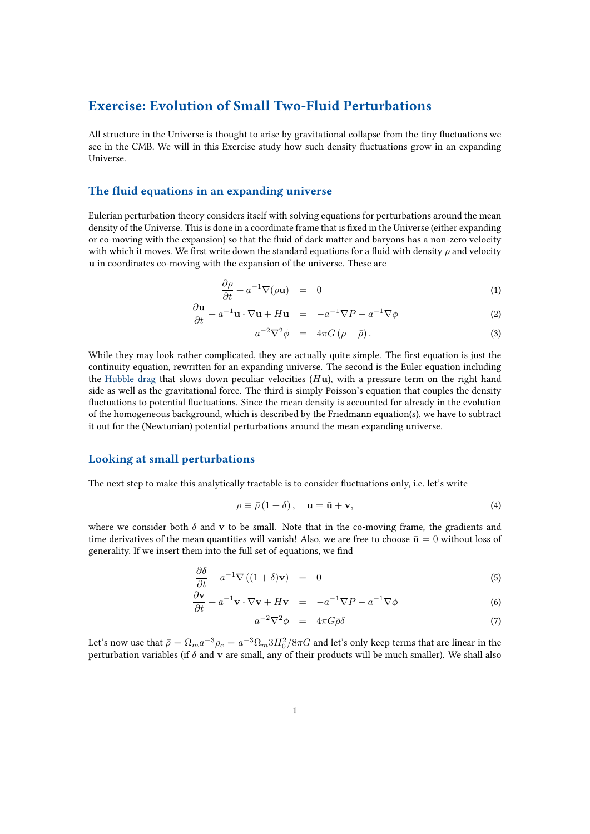# Exercise: Evolution of Small Two-Fluid Perturbations

All structure in the Universe is thought to arise by gravitational collapse from the tiny fluctuations we see in the CMB. We will in this Exercise study how such density fluctuations grow in an expanding Universe.

#### The fluid equations in an expanding universe

∂u

Eulerian perturbation theory considers itself with solving equations for perturbations around the mean density of the Universe. This is done in a coordinate frame that is fixed in the Universe (either expanding or co-moving with the expansion) so that the fluid of dark matter and baryons has a non-zero velocity with which it moves. We first write down the standard equations for a fluid with density  $\rho$  and velocity u in coordinates co-moving with the expansion of the universe. These are

$$
\frac{\partial \rho}{\partial t} + a^{-1} \nabla(\rho \mathbf{u}) = 0 \tag{1}
$$

$$
\frac{\partial \mathbf{u}}{\partial t} + a^{-1} \mathbf{u} \cdot \nabla \mathbf{u} + H \mathbf{u} = -a^{-1} \nabla P - a^{-1} \nabla \phi \tag{2}
$$

$$
a^{-2}\nabla^2\phi = 4\pi G\left(\rho - \bar{\rho}\right). \tag{3}
$$

While they may look rather complicated, they are actually quite simple. The first equation is just the continuity equation, rewritten for an expanding universe. The second is the Euler equation including the Hubble drag that slows down peculiar velocities  $(H<sub>u</sub>)$ , with a pressure term on the right hand side as well as the gravitational force. The third is simply Poisson's equation that couples the density fluctuations to potential fluctuations. Since the mean density is accounted for already in the evolution of the homogeneous background, which is described by the Friedmann equation(s), we have to subtract it out for the (Newtonian) potential perturbations around the mean expanding universe.

#### Looking at small perturbations

The next step to make this analytically tractable is to consider fluctuations only, i.e. let's write

$$
\rho \equiv \bar{\rho} (1 + \delta), \quad \mathbf{u} = \bar{\mathbf{u}} + \mathbf{v}, \tag{4}
$$

where we consider both  $\delta$  and v to be small. Note that in the co-moving frame, the gradients and time derivatives of the mean quantities will vanish! Also, we are free to choose  $\bar{u} = 0$  without loss of generality. If we insert them into the full set of equations, we find

$$
\frac{\partial \delta}{\partial t} + a^{-1} \nabla \left( (1 + \delta) \mathbf{v} \right) = 0 \tag{5}
$$

$$
\frac{\partial \mathbf{v}}{\partial t} + a^{-1} \mathbf{v} \cdot \nabla \mathbf{v} + H \mathbf{v} = -a^{-1} \nabla P - a^{-1} \nabla \phi \tag{6}
$$

$$
a^{-2}\nabla^2\phi = 4\pi G\bar{\rho}\delta \tag{7}
$$

Let's now use that  $\bar{\rho}=\Omega_m a^{-3}\rho_c=a^{-3}\Omega_m 3H_0^2/8\pi G$  and let's only keep terms that are linear in the perturbation variables (if  $\delta$  and v are small, any of their products will be much smaller). We shall also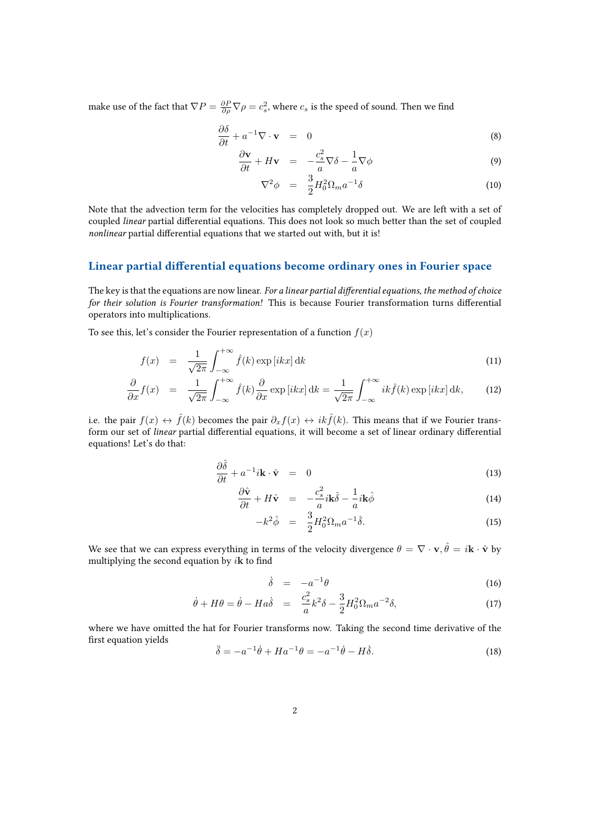make use of the fact that  $\nabla P = \frac{\partial P}{\partial \rho} \nabla \rho = c_s^2$ , where  $c_s$  is the speed of sound. Then we find

$$
\frac{\partial \delta}{\partial t} + a^{-1} \nabla \cdot \mathbf{v} = 0 \tag{8}
$$

$$
\frac{\partial \mathbf{v}}{\partial t} + H \mathbf{v} = -\frac{c_s^2}{a} \nabla \delta - \frac{1}{a} \nabla \phi \tag{9}
$$

$$
\nabla^2 \phi = \frac{3}{2} H_0^2 \Omega_m a^{-1} \delta \tag{10}
$$

Note that the advection term for the velocities has completely dropped out. We are left with a set of coupled linear partial differential equations. This does not look so much better than the set of coupled nonlinear partial differential equations that we started out with, but it is!

#### Linear partial differential equations become ordinary ones in Fourier space

The key is that the equations are now linear. For a linear partial differential equations, the method of choice for their solution is Fourier transformation! This is because Fourier transformation turns differential operators into multiplications.

To see this, let's consider the Fourier representation of a function  $f(x)$ 

$$
f(x) = \frac{1}{\sqrt{2\pi}} \int_{-\infty}^{+\infty} \hat{f}(k) \exp[i k x] dk
$$
\n(11)

$$
\frac{\partial}{\partial x} f(x) = \frac{1}{\sqrt{2\pi}} \int_{-\infty}^{+\infty} \hat{f}(k) \frac{\partial}{\partial x} \exp[i k x] dk = \frac{1}{\sqrt{2\pi}} \int_{-\infty}^{+\infty} i k \hat{f}(k) \exp[i k x] dk, \quad (12)
$$

i.e. the pair  $f(x) \leftrightarrow \hat{f}(k)$  becomes the pair  $\partial_x f(x) \leftrightarrow i k \hat{f}(k)$ . This means that if we Fourier transform our set of linear partial differential equations, it will become a set of linear ordinary differential equations! Let's do that:

$$
\frac{\partial \hat{\delta}}{\partial t} + a^{-1} i \mathbf{k} \cdot \hat{\mathbf{v}} = 0 \tag{13}
$$

$$
\frac{\partial \hat{\mathbf{v}}}{\partial t} + H \hat{\mathbf{v}} = -\frac{c_s^2}{a} i \mathbf{k} \hat{\delta} - \frac{1}{a} i \mathbf{k} \hat{\phi}
$$
(14)

$$
-k^2 \hat{\phi} = \frac{3}{2} H_0^2 \Omega_m a^{-1} \hat{\delta}.
$$
 (15)

We see that we can express everything in terms of the velocity divergence  $\theta = \nabla \cdot \mathbf{v}, \hat{\theta} = i\mathbf{k} \cdot \hat{\mathbf{v}}$  by multiplying the second equation by  $i\mathbf{k}$  to find

$$
\dot{\delta} = -a^{-1}\theta \tag{16}
$$

$$
\dot{\theta} + H\theta = \dot{\theta} - H a \dot{\delta} = \frac{c_s^2}{a} k^2 \delta - \frac{3}{2} H_0^2 \Omega_m a^{-2} \delta, \tag{17}
$$

where we have omitted the hat for Fourier transforms now. Taking the second time derivative of the first equation yields

$$
\ddot{\delta} = -a^{-1}\dot{\theta} + Ha^{-1}\theta = -a^{-1}\dot{\theta} - H\dot{\delta}.\tag{18}
$$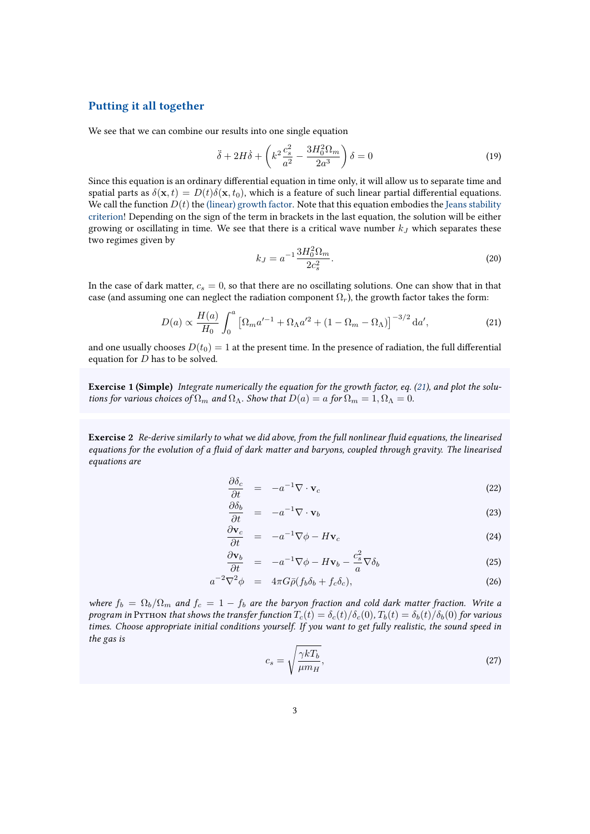### Putting it all together

We see that we can combine our results into one single equation

$$
\ddot{\delta} + 2H\dot{\delta} + \left(k^2 \frac{c_s^2}{a^2} - \frac{3H_0^2 \Omega_m}{2a^3}\right)\delta = 0\tag{19}
$$

Since this equation is an ordinary differential equation in time only, it will allow us to separate time and spatial parts as  $\delta(\mathbf{x}, t) = D(t)\delta(\mathbf{x}, t_0)$ , which is a feature of such linear partial differential equations. We call the function  $D(t)$  the (linear) growth factor. Note that this equation embodies the Jeans stability criterion! Depending on the sign of the term in brackets in the last equation, the solution will be either growing or oscillating in time. We see that there is a critical wave number  $k_J$  which separates these two regimes given by

<span id="page-2-0"></span>
$$
k_J = a^{-1} \frac{3H_0^2 \Omega_m}{2c_s^2}.
$$
\n(20)

In the case of dark matter,  $c_s = 0$ , so that there are no oscillating solutions. One can show that in that case (and assuming one can neglect the radiation component  $\Omega_r$ ), the growth factor takes the form:

$$
D(a) \propto \frac{H(a)}{H_0} \int_0^a \left[ \Omega_m a'^{-1} + \Omega_\Lambda a'^2 + (1 - \Omega_m - \Omega_\Lambda) \right]^{-3/2} da', \tag{21}
$$

and one usually chooses  $D(t_0) = 1$  at the present time. In the presence of radiation, the full differential equation for  $D$  has to be solved.

Exercise 1 (Simple) Integrate numerically the equation for the growth factor, eq. [\(21\)](#page-2-0), and plot the solutions for various choices of  $\Omega_m$  and  $\Omega_{\Lambda}$ . Show that  $D(a) = a$  for  $\Omega_m = 1, \Omega_{\Lambda} = 0$ .

<span id="page-2-1"></span>Exercise 2 Re-derive similarly to what we did above, from the full nonlinear fluid equations, the linearised equations for the evolution of a fluid of dark matter and baryons, coupled through gravity. The linearised equations are

$$
\frac{\partial \delta_c}{\partial t} = -a^{-1} \nabla \cdot \mathbf{v}_c \tag{22}
$$

$$
\frac{\partial \delta_b}{\partial t} = -a^{-1} \nabla \cdot \mathbf{v}_b \tag{23}
$$

$$
\frac{\partial \mathbf{v}_c}{\partial t} = -a^{-1} \nabla \phi - H \mathbf{v}_c \tag{24}
$$

$$
\frac{\partial \mathbf{v}_b}{\partial t} = -a^{-1} \nabla \phi - H \mathbf{v}_b - \frac{c_s^2}{a} \nabla \delta_b \tag{25}
$$

$$
a^{-2}\nabla^2\phi = 4\pi G\bar{\rho}(f_b\delta_b + f_c\delta_c), \qquad (26)
$$

where  $f_b = \Omega_b/\Omega_m$  and  $f_c = 1 - f_b$  are the baryon fraction and cold dark matter fraction. Write a program in Pyrhon that shows the transfer function  $T_c(t) = \delta_c(t)/\delta_c(0)$ ,  $T_b(t) = \delta_b(t)/\delta_b(0)$  for various times. Choose appropriate initial conditions yourself. If you want to get fully realistic, the sound speed in the gas is

$$
c_s = \sqrt{\frac{\gamma k T_b}{\mu m_H}},\tag{27}
$$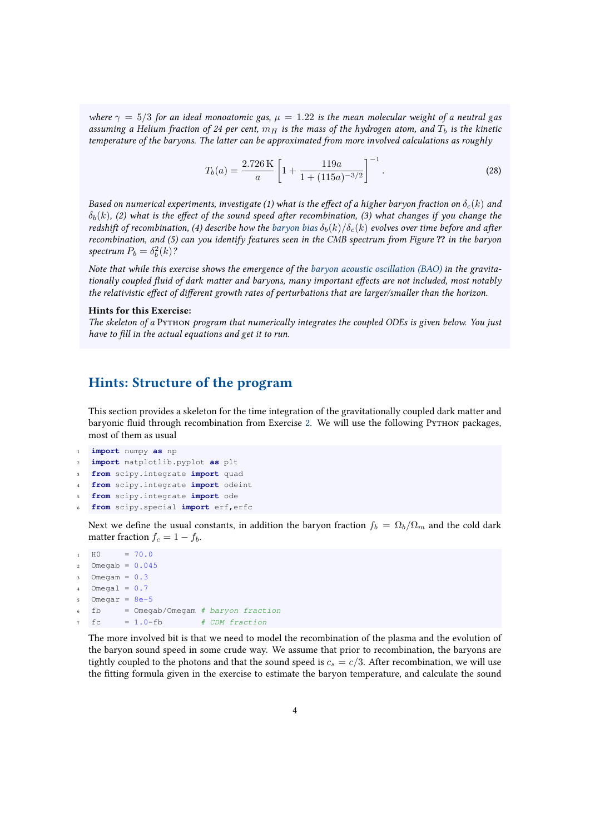where  $\gamma = 5/3$  for an ideal monoatomic gas,  $\mu = 1.22$  is the mean molecular weight of a neutral gas assuming a Helium fraction of 24 per cent,  $m_H$  is the mass of the hydrogen atom, and  $T_b$  is the kinetic temperature of the baryons. The latter can be approximated from more involved calculations as roughly

$$
T_b(a) = \frac{2.726 \text{ K}}{a} \left[ 1 + \frac{119a}{1 + (115a)^{-3/2}} \right]^{-1}.
$$
 (28)

Based on numerical experiments, investigate (1) what is the effect of a higher baryon fraction on  $\delta_c(k)$  and  $\delta_b(k)$ , (2) what is the effect of the sound speed after recombination, (3) what changes if you change the redshift of recombination, (4) describe how the baryon bias  $\delta_b(k)/\delta_c(k)$  evolves over time before and after recombination, and (5) can you identify features seen in the CMB spectrum from Figure ?? in the baryon spectrum  $P_b = \delta_b^2(k)$ ?

Note that while this exercise shows the emergence of the baryon acoustic oscillation (BAO) in the gravitationally coupled fluid of dark matter and baryons, many important effects are not included, most notably the relativistic effect of different growth rates of perturbations that are larger/smaller than the horizon.

#### Hints for this Exercise:

The skeleton of a Python program that numerically integrates the coupled ODEs is given below. You just have to fill in the actual equations and get it to run.

## Hints: Structure of the program

This section provides a skeleton for the time integration of the gravitationally coupled dark matter and baryonic fluid through recombination from Exercise [2.](#page-2-1) We will use the following PyTHON packages, most of them as usual

```
1 import numpy as np
```

```
2 import matplotlib.pyplot as plt
```
- <sup>3</sup> **from** scipy.integrate **import** quad
- <sup>4</sup> **from** scipy.integrate **import** odeint
- <sup>5</sup> **from** scipy.integrate **import** ode
- <sup>6</sup> **from** scipy.special **import** erf,erfc

Next we define the usual constants, in addition the baryon fraction  $f_b = \Omega_b / \Omega_m$  and the cold dark matter fraction  $f_c = 1 - f_b$ .

```
H_0 = 70.02 Omegab = 0.045Omega = 0.3Omega = 0.7Omegar = 8e-5fb = Omegab/Omegam # baryon fractionfc = 1.0-fb # CDM fraction
```
The more involved bit is that we need to model the recombination of the plasma and the evolution of the baryon sound speed in some crude way. We assume that prior to recombination, the baryons are tightly coupled to the photons and that the sound speed is  $c_s = c/3$ . After recombination, we will use the fitting formula given in the exercise to estimate the baryon temperature, and calculate the sound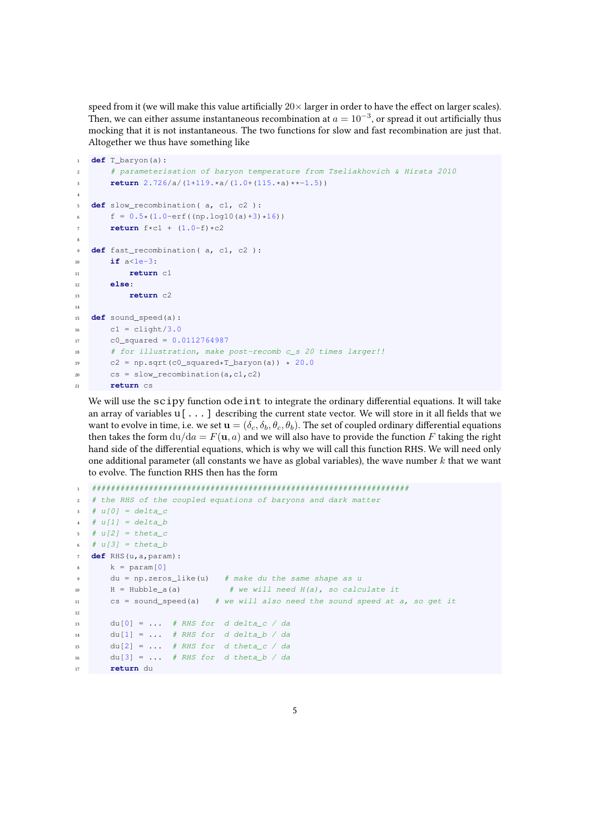speed from it (we will make this value artificially  $20 \times$  larger in order to have the effect on larger scales). Then, we can either assume instantaneous recombination at  $a = 10^{-3}$ , or spread it out artificially thus mocking that it is not instantaneous. The two functions for slow and fast recombination are just that. Altogether we thus have something like

```
1 def T_baryon(a):
2 # parameterisation of baryon temperature from Tseliakhovich & Hirata 2010

4
5 def slow_recombination( a, c1, c2 ):
6 f = 0.5*(1.0-erf((np.log10(a)+3)*16))7 return f*c1 + (1.0-f)*c2
8
9 def fast_recombination( a, c1, c2 ):
10 if a<1e-3:
11 return c1
12 else:
13 return c2
14
15 def sound_speed(a):
16 c1 = clight/3.0
17 c0_squared = 0.0112764987
18 # for illustration, make post-recomb c_s 20 times larger!!
19 c2 = np.sqrt(c0_squared*T_baryon(a)) * 20.0
20 cs = slow_recombination(a,c1,c2)
21 return cs
```
We will use the scipy function odeint to integrate the ordinary differential equations. It will take an array of variables  $u$ [...] describing the current state vector. We will store in it all fields that we want to evolve in time, i.e. we set  $\mathbf{u} = (\delta_c, \delta_b, \theta_c, \theta_b)$ . The set of coupled ordinary differential equations then takes the form  $du/da = F(u, a)$  and we will also have to provide the function F taking the right hand side of the differential equations, which is why we will call this function RHS. We will need only one additional parameter (all constants we have as global variables), the wave number  $k$  that we want to evolve. The function RHS then has the form

```
1 ###################################################################
  # the RHS of the coupled equations of baryons and dark matter
  # u[0] = delta_c# u[1] = delta_b5 # u[2] = theta_c
6 # u[3] = theta_b7 def RHS(u,a,param):
8 \text{ k} = \text{param}[0]9 du = np.zeros_like(u) # make du the same shape as u
10 H = Hubble_a(a) # we will need H(a), so calculate it
11 cs = sound_speed(a) # we will also need the sound speed at a, so get it
12
13 du[0] = ... # RHS for d delta_c / da
14 du[1] = \ldots # RHS for d delta_b / da
15 du[2] = \ldots # RHS for d theta_c / da
16 du[3] = ... # RHS for d theta_b / da
17 return du
```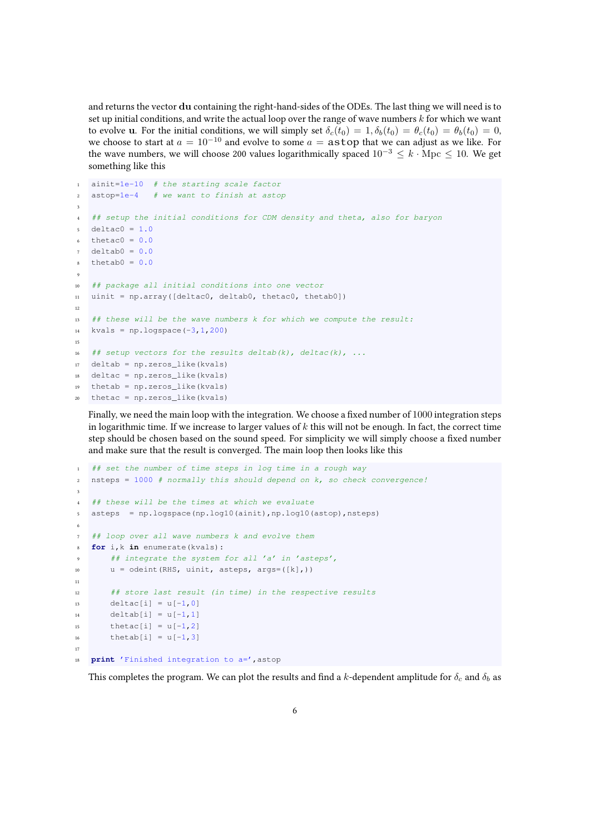and returns the vector du containing the right-hand-sides of the ODEs. The last thing we will need is to set up initial conditions, and write the actual loop over the range of wave numbers  $k$  for which we want to evolve u. For the initial conditions, we will simply set  $\delta_c(t_0) = 1, \delta_b(t_0) = \theta_c(t_0) = \theta_b(t_0) = 0$ , we choose to start at  $a = 10^{-10}$  and evolve to some  $a =$  astop that we can adjust as we like. For the wave numbers, we will choose 200 values logarithmically spaced  $10^{-3} \leq k \cdot \text{Mpc} \leq 10$ . We get something like this

```
1 ainit=1e-10 # the starting scale factor
2 astop=1e-4 # we want to finish at astop
3
   4 ## setup the initial conditions for CDM density and theta, also for baryon
  deltac0 = 1.0thetac0 = 0.0delta0 = 0.0thetab0 = 0.09
10 ## package all initial conditions into one vector
11 uinit = np.array([deltac0, deltab0, thetac0, thetab0])
12
13 ## these will be the wave numbers k for which we compute the result:
14 kvals = np.logspace(-3, 1, 200)15
16 # setup vectors for the results deltab(k), deltac(k), ...
17 deltab = np.zeros_like(kvals)
18 deltac = np.zeros_like(kvals)
19 thetab = np.zeros_like(kvals)
20 thetac = np.zeros like(kvals)
```
Finally, we need the main loop with the integration. We choose a fixed number of 1000 integration steps in logarithmic time. If we increase to larger values of  $k$  this will not be enough. In fact, the correct time step should be chosen based on the sound speed. For simplicity we will simply choose a fixed number and make sure that the result is converged. The main loop then looks like this

```
1 ## set the number of time steps in log time in a rough way
2 nsteps = 1000 # normally this should depend on k, so check convergence!
 3
4 ## these will be the times at which we evaluate
   asteps = np.logspace(np.log10(ainit),np.log10(astop),nsteps)
 6
   ## loop over all wave numbers k and evolve them
   for i, k in enumerate(kvals):
       ## integrate the system for all 'a' in 'asteps',
10 u = \text{odeint}(RHS, \text{uint}, \text{asteps}, \text{args} = (\lfloor k \rfloor,))11
12 ## store last result (in time) in the respective results
13 deltac[i] = u[-1, 0]14 deltab[i] = u[-1, 1]15 thetac[i] = u[-1, 2]16 thetab[i] = u[-1,3]17
18 print 'Finished integration to a=',astop
```
This completes the program. We can plot the results and find a k-dependent amplitude for  $\delta_c$  and  $\delta_b$  as